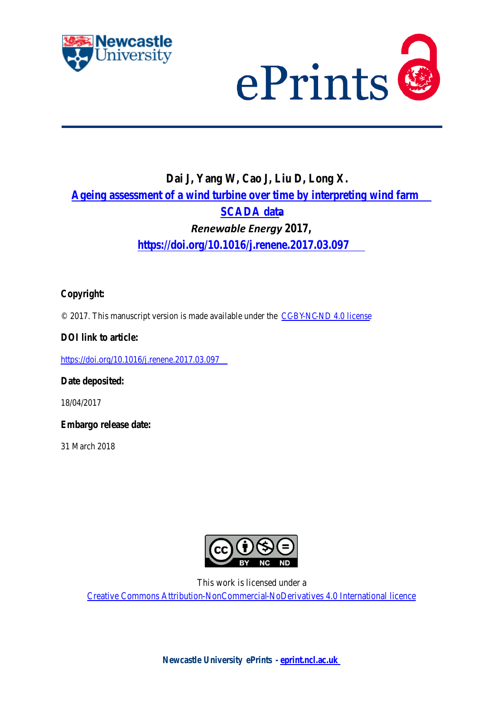# **Ageing Assessment of a Wind Turbine over Time by Interpreting Wind Farm SCADA Data**

4 Juchuan Dai a,b, Wenxian Yangb, c \*, Junwei Cao <sup>a</sup>, Deshun Liu <sup>a</sup>, Xing Long d <sup>4</sup> School of Electromechanical Engineering, Hunan University of Science and Technology, Xiangtan 411201, China <sup>b</sup> School of Engineering, Newcastle University, Newcastle upon Tyne NE1 7RU, UK <sup>c</sup> Hunan Province Cooperative Innovation Centre for Wind Power Equipment and Energy Conversion, Hunan Institute of Engineering, Xiangtan 411104, China <sup>d</sup> XEMC Windpower Co., Ltd., Xiangtan 411000, China **Abstract**: Ageing of a wind turbine and its components is inevitable. It will affect the reliability and power generation of the turbine over time. Therefore, performing the ageing assessment of wind turbines is of significance not only to optimize the operation and maintenance strategy of the wind turbine but also to improve the management of a wind farm. However, in contrast to the significant number of research on wind turbine condition monitoring and reliability analysis, little effort was made before to investigate the ageing led performance degradation issue of wind turbines over time. To fill such a technology gap, four SCADA-based wind turbine ageing assessment criteria are proposed in this paper for measuring the ageing resultant performance degradation of the turbine. With the aid of these four criteria, a reliable information fusion based wind turbine ageing assessment method is developed and verified in the end using the real wind farm SCADA data. It has been shown that the proposed method is effective and reliable in performing the ageing assessment of a wind turbine.

**Keywords**: Wind turbines; Ageing assessment; Performance degradation; SCADA data

#### **1. Introduction<sup>1</sup>**

-

 With the rapid development of wind power industry, there is an increasing need to lower the Cost of Energy (COE) of wind power [\[1\]](#page-16-0). In recent years, effort has been made to develop advanced condition monitoring and maintenance optimization techniques in order to improve the safety and availability of wind turbines, such as the advanced condition monitoring techniques developed based on wavelet transform [\[2\]](#page-16-1) and wavelet-transform [\[3,](#page-17-0) [4\]](#page-17-1); the condition-based maintenance strategies [\[5\]](#page-17-2); and son on. The research results do significantly improve the operation and maintenance activities in wind farms. For example, based on a robust fault reconstruction technique the considered faults and system states are simultaneously reconstructed [\[6\]](#page-17-3). In the meantime, to better manage the wind power assets, a number of reliability related research, including reliability-centered maintenance (RCM) analysis [\[7\]](#page-17-4), reliability analysis with incomplete failure data[\[8\]](#page-17-5), reliability analysis based on failure modes and effects analysis[\[9\]](#page-17-6), were also

 $*$  Corresponding author. Tel  $+44(0)191$  208 6171

E-mail address: Wenxian.Yang@newcastle.ac.uk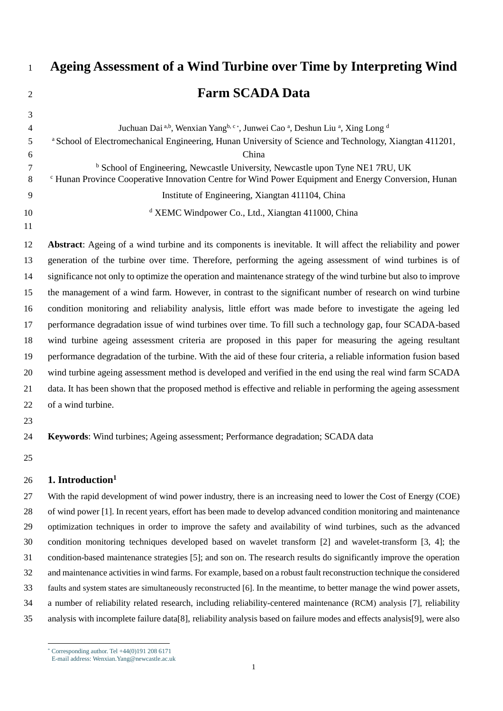conducted to understand the reliability of wind turbines and their components. The interesting findings from these analyses do provide a global view of the reliability issues existing in the present wind industry, which is very helpful not only to improve the reliability design of the turbine but also to develop right insurance policies for wind power facilities. In summary, all these previous efforts on both condition monitoring and reliability analysis actually accelerate the development of wind power industry. However, the ageing effect, which not only affects energy capture[\[10\]](#page-17-7), but also affects the reliability and operation of wind turbines, has not been fully paid attention to. The designed life of a wind turbine is normally 20-25 years for onshore and 25-30 years for offshore. During the service period, it is inevitable that the reliability and performance of the turbine will degrade over time due to ageing effect. Such degradation will more or less reduce the performance of the turbine. However, it is still not a fault because it does not affect delivering the normal function of any wind turbine component. Since the conventional wind turbine condition monitoring techniques are usually focused on fault detection and diagnosis[\[11,](#page-17-8) [12\]](#page-17-9), therefore not ideal for dealing with this kind of ageing issues. So far, research on the wind turbine ageing issue has not been reported in the open literature, although it does accompany the service of a wind turbine. Moreover, harsh operational environments (e.g. the wet and corrosive offshore environment) and aggressive loading conditions (e.g. the loads induced by turbulent wind and storm) can accelerate the ageing issues. Therefore, it is of great significance to carry out the ageing assessment, which will benefit the life management of a wind turbine and thereby maximize its economic return. The preliminary research reported in this paper is just in order to reach such a purpose.

 Wind farms are equipped with supervisory control and data acquisition (SCADA) system, which collects data from critical components of wind turbines in order to understand turbines' operational condition and control them from distance in the case of necessity. In recent years, the added value of wind farm SCADA data is further explored in the field of wind turbine condition monitoring. For example, a fault prediction method was proposed and some data- mining algorithms were used to develop models predicting potential faults in [\[13\]](#page-17-10); wind turbine gearbox was monitored through analyzing lube oil and bearing temperature data in [\[14\]](#page-17-11); SCADA-based clustering and principal component analysis were used for diagnosing gearbox failure in [\[15\]](#page-17-12); multivariate state estimation technique and moving window calculation were used to estimate the wind turbine gearbox temperature in [\[16\]](#page-17-13); a multi-agent system architecture was used to corroborate various interpretation technique output, provide performance evaluation and early fault identification in [\[17\]](#page-17-14); adaptive neuro-fuzzy interference system was used to develop SCADA-based wind turbine condition monitoring system in [\[18,](#page-17-15) [19\]](#page-17-16); an effective SCADA data processing method and the associated quantitative health condition assessment method were developed in [\[20\]](#page-17-17); the inner-DBSCAN (density-based spatial clustering of applications with noise) algorithm for monitoring the wind turbine operation condition was developed in [\[21\]](#page-17-18). However, almost all these research are linked to condition monitoring, fault diagnosis and fault prediction of wind turbines. The effort for dealing with the ageing issues of wind turbines is still insufficient. As mentioned in [\[20,](#page-17-17) [22,](#page-17-19) [23\]](#page-17-20) , SCADA data are not ideal for conducting a full condition monitoring of a wind turbine due to their low sampling frequency. But they could be more suitable to be applied to investigate the ageing led performance degradation issues of a wind turbine as the low-sampling-rated SCADA data can describe the performance of a wind turbine in a long time. This is why wind farm SCADA data is used in this paper to develop the ageing assessment technique for wind turbines.

73 In summary, the key scientific contributions of this paper are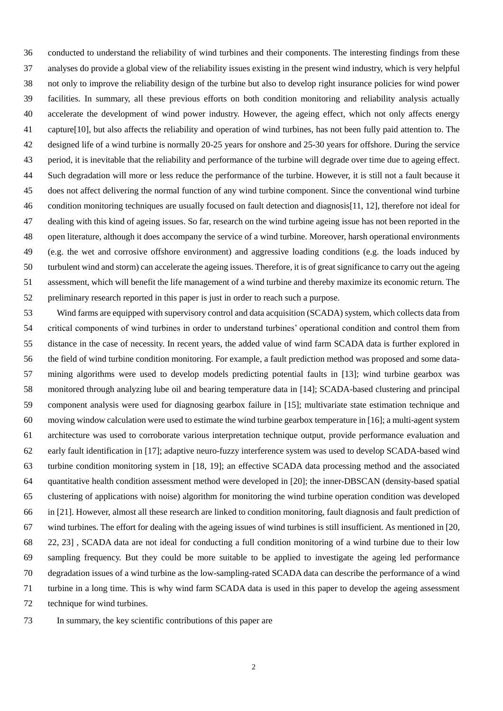- A feasible method of performing ageing assessment of wind turbines using wind farm SCADA is proposed
- following the discussion of a number of SCADA parameters that can indicate the ageing of different wind turbine components;
- A more reliable information fusion based method is further developed to assure the reliability of ageing assessment conclusion.
- 

#### **2. SCADA parameters for ageing assessment**

81 SCADA data are the data collected from the key components of wind turbines by wind farm SCADA system, which include a number of parameters, reflecting the operation and status of the turbines in the wind farm. But in practice, the SCADA parameters being collected from different concepts of wind turbines may be different. For example, the turbines considered in this paper are gearless direct-drive permanent magnet wind turbines. The SCADA data collected from them include wind speed, rotor speed, pitch angle, nacelle vibration, wind direction, yaw angle, generator power, generator current, generator frequency, generator torque, hub azimuth, converter current, converter pressure, converter temperature, hub temperature, temperature of the main bearing, power of pitch motor, hydraulic brake pressure, etc. All these parameters are important to ensure the safety and efficient operation of the turbines. However, not all of them are really useful for conducting the ageing assessment. Therefore, the useful SCADA parameters for conducting wind turbine ageing assessment will be identified first from these data in this research. Then, a few ageing assessment criteria will be designed based on the identified SCADA parameters specifically for assessing the performance degradation of the key parts of the wind turbine being investigated.

#### **2.1. Modelling output power**

 The stability of output power at corresponding wind speed is one of the important criteria for assessing the performance of a wind turbine. The assessment is based on the following two assumptions, i.e. (1) under the same operational and weather condition (i.e. wind speed, wind direction, temperature, humidity etc.), the power generated by the wind turbine at the corresponding wind speed should be approximately same; (2) when wind speed is above the rated wind speed, the output power should be constantly close to the rated power of the turbine despite the change of operational and weather conditions. If presuming the yaw angle of the nacelle is always right, then, in theory, the fluctuation of output power is basically dependent on the variations of air density, wind speed, rotor speed, and pitch angle of rotor blade, as shown in equation (1) [\[24,](#page-17-21) [25\]](#page-17-22).

101 angle of rotor blade, as shown in equation (1) [24, 25].  
\n
$$
\Delta P = \frac{1}{2} (\rho + \Delta \rho) (v + \Delta v)^3 \pi R^2 \cdot C_p \left( \frac{(\omega + \Delta \omega) R}{v + \Delta v}, (\beta + \Delta \beta) \right)
$$
\n(1)

103 where,  $\triangle$  indicates fluctuation, P refers to the output power,  $\rho$  is air density, v is air velocity, R is rotor diameter,  $C_p$ 104 is power coefficient, and  $\beta$  is the pitch angle of the blade. Among these variables, rotor speed  $\omega$  and pitch angle  $\beta$ can be controlled based on requirements, while wind speed and air density are uncontrollable.

 From (1), it can be inferred that the amount of power fluctuation under different operational and weather conditions will be different. For this reason, to ensure the reliability of the assessment, the method that is used for evaluating the power fluctuation should be less dependent or independent of the weather and operational conditions of the turbine. In order to try best to meet such a requirement, in this paper, the power fluctuation is investigated only when the wind speed is above the rated wind speed. This is because the pitch control system of the wind turbine starts to work only when wind speed is above the rated wind speed. In this scenario, through blade pitch control, the output power from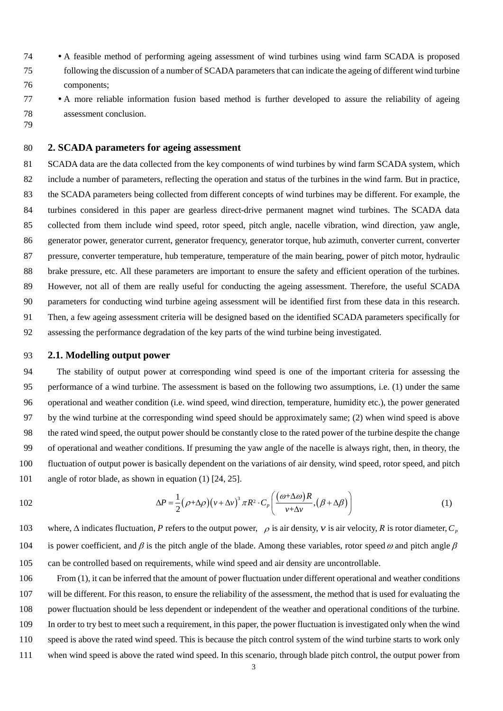wind turbine generator is constrained around the rated power in spite of the change of wind condition. By contrast, the pitch control system of the wind turbine will not work when wind speed is below the rated wind speed. As shown in Fig.1, to reach a constant output power, the blade pitch control system of a variable speed wind turbine will be trigged on as soon as the measured power exceeds the power demand. Then, the output power will be controlled by 116 adjusting the pitch angle of the blade  $\beta$ , which will influence the aerodynamic characteristics of the wind turbine as long as the turbine converter can successfully fix the rotational speed of turbine rotor. In other words, assume the power electronic convert of the turbine works properly, the rotor speed in this region will be almost constant (i.e. 119  $\Delta \omega$  → 0). Then, the power fluctuation  $\Delta P$  will mainly rely on the accuracy of blade pitch control. Accordingly, the output power fluctuation ∆*P* is used in this paper mainly to reflect the ageing issue of blade pitch control system, which has shown lots of reliability issues in wind farm. But it is worthy to note that such a strategy is subject to that the wind turbine converter is in good condition and is able to carry out a perfect control of rotor speed.





124 Fig.1 Power control structure of wind turbines when wind speed is above the rated wind speed

#### 125 **2.2. Power coefficient**

126 Power coefficient  $C_p$  is a criterion indicating the capability of the wind turbine in capturing and converting aerodynamic energy in wind to electric power. In SCADA system, the collected power is the power output of the wind turbine generator rather than the energy of all wind flowing into the wind turbine rotor, so the power coefficient can be mathematically expressed as

130 
$$
C_p = \frac{P}{W} = \frac{2P}{\rho v^3 \pi R^2}
$$
 (2)

131 where, *W* is the total aerodynamic energy of the wind passing through the sweep area of the wind turbine rotor; *P* is 132 output power of the generator.

 From (2), it can be inferred that if overlooking the ignorable energy loss that is consumed by wind turbine drive 134 train and control system, the value of  $C_p$  is affected mainly by the aerodynamic performance of wind turbine rotors and the energy conversion efficiency of the generator. For a permanent magnet generator, the degradation of the latter can be induced by either the demagnetization of magnetic material or the ageing issues of wires.

137 The relationship between the aerodynamic characteristics of wind rotor (lift and drag coefficients of airfoil sections) 138 and the energy that it can capture from the wind is expressed as [\[25,](#page-17-22) [26\]](#page-18-0)

139  
\n
$$
P = \omega \int_0^R \frac{1}{2} \rho c \frac{v_0 \omega r^2 (1 - a)(1 + a')}{\sin \phi \cos \phi} (C_l \sin \phi - C_d \cos \phi) dr
$$
\n(3)

140 where,  $\omega$  is rotor speed;  $r$  stands for the distance of an airfoil section from the root of the blade;  $C_l$  and  $C_d$  are 141 respectively the lift and drag coefficients of the airfoil;  $v_0$  is the axial wind velocity; *a* and *a'* are axial and tangential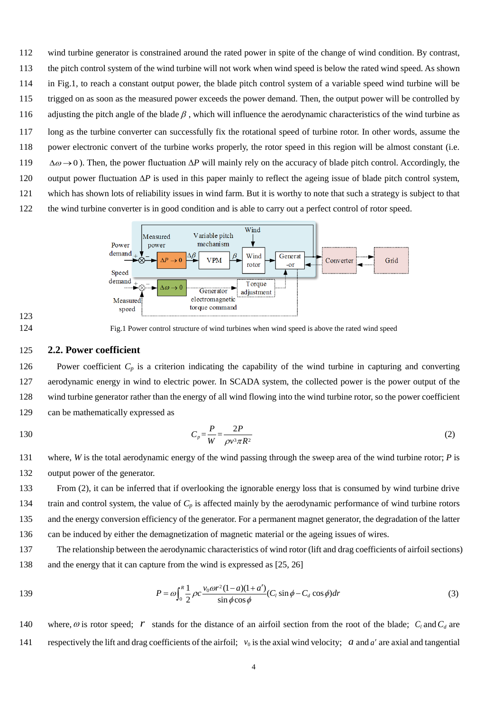- 142 induced velocity coefficients, respectively;  $\phi$  is inflow angle; *c* is chord length of the airfoil.
- 143 From (3), it can be seen that the value of *P* is dependent on lift coefficient, drag coefficient, and induced velocity coefficient and in turn, any change of these three parameters due to blade damage will significantly affect the value of *P*.
- As the SCADA data used in this paper are from permanent magnet synchronous direct drive wind turbines, herein the ageing issue of the permanent magnet generator is considered. The power generated by a permanent magnet
- generator can be expressed as [\[27-29\]](#page-18-1)

$$
P = \frac{3}{2} p [\psi_{f} i_{sq} + (L_{sd} - L_{sq}) i_{sd} i_{sq}] \omega
$$
\n(4)

where, p is the number of pole pairs;  $\psi_f$  is the permanent magnet magnetic field;  $i_{sd}$  and  $i_{sq}$  are d axis and q axis 151 components of stator currents, respectively;  $L_{sd}$  and  $L_{sq}$  are d axis and *q* axis inductances of the stator, respectively.

152 It is necessary to note that the model shown in (4) uses the *d-q* rotating coordinate system on the rotor as the reference coordinate system, the *d* axis is directed to the rotor pole axis, and the *q* axis is ahead of the *d* axis for 90 electric angles. From Eq. (4), it is clearly seen that with the increase of service time, the decreased permanent magnet 155 magnetic field  $\psi_f$  will have a direct impact on output power.

156 For the aforementioned reasons derived from (3) and (4), power coefficient  $C_p$  is used in this paper to indicate the performance degradation of wind turbine blade and generator.

#### **2.3. Nacelle vibration**

 Nacelle vibration can be excited by many factors. Apart from being affected by external loads, the vibration measured from wind turbine nacelle is also influenced by the integrity of the tower and other support and fixture structures of the turbine. Once the stiffness and damping of these structures change due to ageing, the vibration of the nacelle will increase over time. The external loads acting on wind turbines are mainly from the wind. According 163 to the BEM theory, the axial force acting on the blades is [\[25,](#page-17-22) [26,](#page-18-0) [30\]](#page-18-2)

$$
dN = \frac{1}{2}\rho c \frac{v_0^2 (1 - a)^2}{\sin^2 \phi} (C_l \cos \phi + C_d \sin \phi) dr
$$
 (5)

165 where, *dN* is the axial force acting on the blades.

 Despite the rich number of excitations, the nacelle vibration can be simply manifested using a mechanical dynamics model as shown in Fig.2. Once ageing happens during the service, the structural stiffness and damping will deviate from their original states, which will consequently lead to the change in nacelle vibration. Such a process can be simply expressed as

$$
m\ddot{\mathbf{B}} + c\dot{\mathbf{B}} + kx = F_N \tag{6}
$$

171 where,  $F_N$  represents the exciting load.

 Based on this consideration, the nacelle vibration is used in this paper to describe the performance degradation of the tower and other support and fixture structures of wind turbines.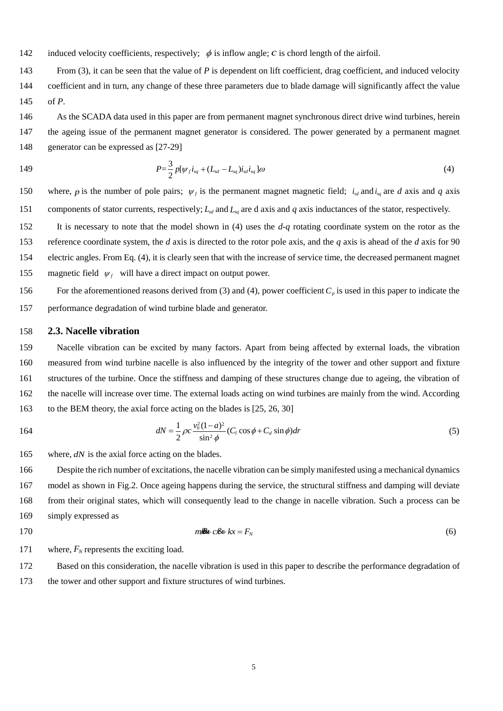

175 Fig.2 Mass-spring-damping model of the nacelle

#### 176 **2.4. Key component temperature**

 The temperature of the main bearing, which is one of the key components of wind turbines, is monitored by wind turbine SCADA system. Besides the presence of defect, the bearing temperature can be influenced also by external loads, the quality of lubrication oil, the condition of bearing components, the axis electric current, environmental temperature, etc., see Fig.3. Over the course of service, both the physical properties of lubrication oil and the worn state of bearing components will change due to ageing issues and moreover, the external fatigue loads and axis electric current can accelerate the change. Consequently, the bearing cannot run efficiently anymore when ageing effect becomes significant. Hence, more energy loss will occur in bearing operation, part of which will be present in the thermal form, i.e. temperature. Therefore, the temperature of the main bearing will increase to a certain extent when ageing effect becomes significant. For this reason, the bearing temperature is used in this paper as a criterion to indicate the ageing issue of the wind turbine main bearing.



## 187

188 Fig.3 Influence factors of main bearing temperature

#### 189 **3. Ageing assessment method**

190 To implement successful ageing assessment, it is critical to design reliable assessment criteria based on the four

191 SCADA parameters identified in Section 2. However, the relevant research has never been reported in previous

192 literature. The work presented in this section is in order to fill such a technology gap.

#### 193 **3.1. Assessment criteria**

#### 194 **(1) Criterion for characterizing the fluctuation of output power**

195 A criterion is proposed to characterize the fluctuation of output power in the scenario when the wind speed is above

196 the rated wind speed. It can be calculated by following the steps:

197 i) **Data preparation**. As shown in Section 2.1, the output power data used for assessing the fluctuation are only those

198 collected when the wind speed is above the rated wind speed. Moreover, in order to assure the accuracy of the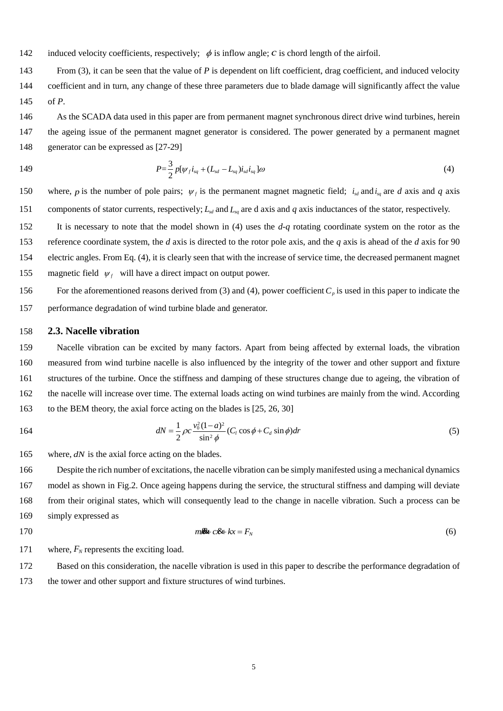199 evaluation, the invalid data (e.g. null data, singularity data, etc.) and those measured when the turbine is faulty and 200 at standby should be taken out first before the calculation. After preparing the data using such a method, the trimmed 201 data used for fluctuation assessment can be expressed as

202 
$$
D_k = [v_{ki}, P_{ki}] \qquad (i = 1, 2, \cdots, n)
$$

203 where,  $v_{ki} > v_{rate}$ ,  $v_{rate}$  represents the rated wind speed; *k* indicates the sample number; *n* indicates the total number 204 of data obtained after filtering during a certain period.

205 Then the absolute fluctuation of the output power  $\Delta P$  during the period could be characterized by the standard 206 deviation of the output power, i.e.

207

$$
\Delta p_k = \sqrt{\frac{1}{n} \sum_{i=1}^n (P_i - \overline{P})^2}
$$
 (7)

208 where,  $\bar{P}$  stands for the average of  $P_i$ . Herein, a big value of  $\Delta p_k$  will indicate a large fluctuation of the output 209 power.

210 Assume the SCADA data available for this assessment contain *N* sets of data, i.e.  $\mathbf{D} = \{D_1, D_2, \cdots, D_N\}$ , then a 211 series of data  $\Delta P = {\Delta p_1, \Delta p_2, \cdots, \Delta p_N}$  can be obtained in the end. In fact, in addition to the standard deviation, 212 some other methods, e.g.  $\Delta P_k = \max(P_i) - \min(P_i)$ , are also feasible for describing power fluctuation. They all can be 213 used for ageing assessment.

214 ii) **Reliable estimation of output power fluctuation**. In order to assure the reliability of assessment, the calculated 215 set of data  $\Delta P = {\Delta p_1, \Delta p_2, \cdots, \Delta p_N}$  are further processed with the aid of Kernel Density Estimation (KDE) [\[31-](#page-18-3) 216 [33\]](#page-18-3). The kernel density estimation can be implemented by

$$
\hat{f}_h(x) = \frac{1}{Nh} \sum_{i=1}^{N} K\left(\frac{x - X_i}{h}\right) \tag{8}
$$

where,  $K(\cdot) \ge 0$  is a kernel function, which satisfies the condition of  $\int_{0}^{+}$  $\int_{-\infty}^{+\infty} K(x) dx = 1$ 218 where,  $K(\cdot) \ge 0$  is a kernel function, which satisfies the condition of  $\int_{-\infty}^{+\infty} K(x)dx = 1$ . In this paper, the Gaussian 219 function  $K(u) = e^{-0.5u^2/\sqrt{2\pi}}$  is used as the kernel function for calculation.  $X_i$  is the element contained in ΔP. Parameter *h* refers to window width to ensure the estimated kernel density curve  $\hat{f}_h(x)$  can best fit the distribution 220 221 of  $\Delta P$ .

222 Let the variable x in (8) changes continuously from min( $\Delta P$ ) to max( $\Delta P$ ) and substitute the elements of  $\Delta P$ 223 into (8), a kernel density curve, as shown in Fig.4, can be obtained. Then, the expected value of  $\Delta p$  can be readily

determined from the kernel density curve. It is the value of 'x' that corresponds to the maximum value of  $\hat{f}_h(x)$ . 224





226 Fig.4 Estimated output power fluctuation through kernel density analysis

227 iii) **Criterion for assessing the ageing of wind turbine control system.** To assess the performance degradation of

228 the wind turbine control system due to the effect of ageing, the following criterion  $\delta_p$  is developed, i.e.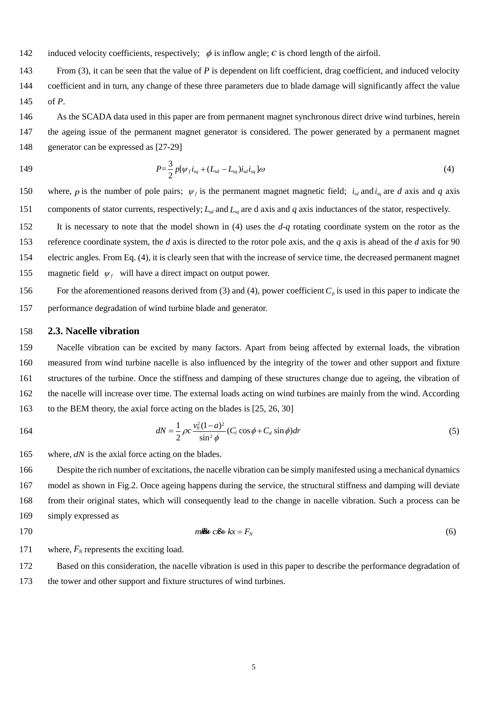$$
\delta_p = \frac{\Delta P_T}{\Delta P_B} \tag{9}
$$

230 where,  $\Delta P_B$  is the benchmark value of the output power fluctuation obtained when the wind turbine is at its early 231 service life,  $\Delta P_T$  is the current value of the output power fluctuation.

232

#### 233 **(2) Criterion for characterizing the change of power coefficient**

234 Since the wind turbine works with different values of power coefficient at different operation stages, it is necessary 235 to think about which stage is most appropriate for performing the assessment of the ageing resultant change of power

236 coefficient. Therefore, a schematic power generation diagram of the wind turbine is plotted in Fig.5.



237

239

238 Fig.5 Relationship between rotor speed and power [\[34\]](#page-18-4)

 From Fig.5, it can be seen that the operation of the turbine consists of 5 stages, namely starting (region 1), first transition (region 2), maximum power point tracking (region 3), second transition (region 4), and full power (region 5). Although SCADA data are collected from all regions in Fig.5, a specific region will be deliberately selected when calculating an individual criterion. Since power coefficient is almost constant in region 3, the data collected in which are used to reach a reliable estimation of the change of power coefficient. In contrast, in the other regions, the value of power coefficient varies over time with the change of wind speed. As a consequence, it is unlikely to reach a reliable estimation of the change from such data.

247 The theoretical maximum value of power coefficient  $C<sub>P</sub>$  of a wind turbine has been defined at the design stage 248 and the turbine is deemed to keep tracking of it when operating in region 3. When a fault occurs in the turbine, the 249 measured value of  $C_P$  will drop down. But this does not mean that in region 3, the  $C_P$  value is constantly the 250 maximum value in the absence of a fault. The value of  $C_P$  will change in a large range when the turbine performance 251 degrades over time due to the ageing of key components (e.g. blade and generator). This is why  $C_P$  is selected as a 252 criterion for assessing the performance degradation of wind turbine rotor blades and generator. To obtain a reliable 253 assessment, the following computing algorithm is developed.

 i)**Data preparation**. To fully avoid the negative influences of unstable wind speed and downtime of the turbine 255 on calculation results, the SCADA data (i.e. wind speed  $\nu$ , rotor speed  $\omega$  and generator output power *P*) collected in region 3 are sorted using rotor speed. Such a data sorting strategy is based on the fact that the turbine can generate electric power only when its rotor is running despite the value of wind speed. Following this method, in a certain time period, a number of SCADA data that are valid for this assessment can be readily obtained. They are

259 
$$
Y_k = [v_{ki}, \omega_{ki}, P_{ki}], \quad (i = 1, 2, \cdots n)
$$

260 where, *k* indicates the order of time period; *n* is the number of data collected during the period. Herein, rotor speed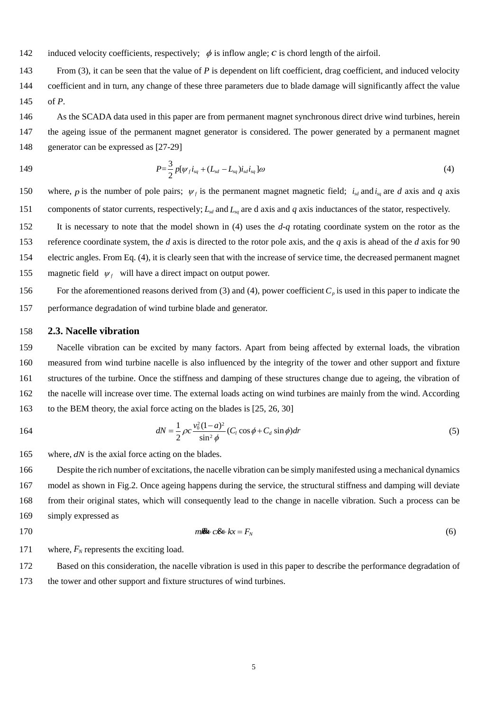261 varies in the range of  $[\omega_{3min}, \omega_{3max}]$ , where  $\omega_{3min}$  and  $\omega_{3max}$  are respectively the minimum and maximum 262 rotor speeds in region 3.

263 ii)**Reliable estimation of power coefficient**. Due to the inertia of turbine rotor, the output power cannot give an 264 immediate response to the change of wind speed. For this reason, it is not rational to calculate  $C_p$  directly using (2). 265 Therefore, an improvement was made, i.e.

266 
$$
C_{Pk} = \frac{\int_{t_1}^{t_2} P(t)dt}{\int_{t_1}^{t_2} \frac{1}{2} \rho v(t)^3 \pi R^2 dt}
$$
 (10)

267 where all relevant data in a time period $[t_1, t_2]$ , rather than only the instant values of P and v measured at a 268 specific moment, are used for the calculation. Thus, the calculated result by (10) can better reflect the actual power 269 coefficient of the turbine than equation (2) does. In the calculation, air density  $\rho$  is dependent on temperature, 270 humidity and atmospheric pressure in the wind farm, i.e.[\[35\]](#page-18-5)

271 
$$
\rho = \frac{p_{ma}}{R_{da}T} [1 - 0.378 \frac{\varphi p_s(t)}{p_{ma}}]
$$
 (11)

272 where,  $R_{da}$  is dry air constant;  $\varphi$  is the relative humidity of the air;  $p_s(t)$  is the water vapor saturation pressure when 273 the temperature is *t*, Pa;  $p_{ma}$  is the pressure of the moist air, Pa.

274 In practical calculation, the power coefficient is estimated using the following discrete form, i.e.

275  

$$
C_P(k) = \frac{\sum_{i=1}^{n} P(kT)}{\sum_{i=1}^{n} \frac{1}{2} \rho v(kT)^3 \pi R^2}
$$
(12)

276 Assume the SCADA data collected in *N* time periods, i.e.  $Y = \{Y_1, Y_2, \dots, Y_N\}$ , are valid for performing this assessment, then a series of calculation results of  $C_p$  can be obtained, i.e.  $C_p = \{C_{p1}, C_{p2}, \dots, C_{pN}\}$ . Then, the KDE 278 method illustrated in (8) will be used to further improve the reliability of the estimation result of power coefficient. 279 Likewise, the *x* value at which the maximum value of the nuclear density occurs is regarded as the final assessment 280 result of the  $C_p$  during the whole testing period.

281 iii)**Criterion for assessing the ageing of power dependent components.** To assess the performance degradation 282 of the wind turbine blade and generator, the following criterion  $\delta_{C_p}$  is developed, i.e.

 $\dot{C}_p = \frac{C_{PB}}{C_{PT}}$ *C*  $\delta_{C_P} = \frac{C_{PB}}{C_{PT}}$ (13) 283

284 where  $C_{PB}$  is the benchmark value of the power coefficient obtained when the wind turbine is at its young age,  $C_{PT}$ 285 is the power coefficient that the wind turbine exhibits at present.

286 From (13), it can be inferred that the more the value of  $\delta_{C_p}$  deviates from 1, the more serious the turbine 287 performance degradation tends to be.

288

#### 289 **(3) Criterion for characterizing the change of nacelle vibration**

290 During the operation of a wind turbine, the vibration of the nacelle is constantly monitored by the SCADA system.

291 Assume the nacelle vibrations measured in horizontal and vertical directions are respectively  $a_x$  and  $a_y$ , then the

292 ageing resultant performance degradation of wind turbine structure can be inferred from  $a_x$  and  $a_y$ . The method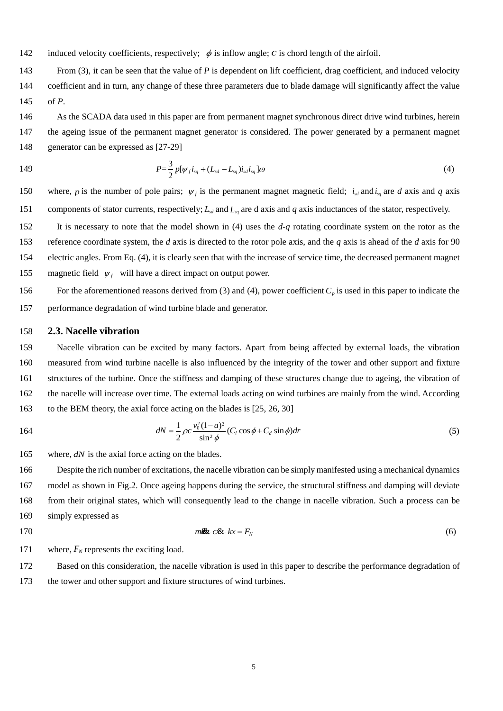- 293 developed for performing such an assessment is shown in the following.
- 294 i)**Data preparation**. Nacelle vibration data of the wind turbine at rated wind speed is selected as

$$
Z_k\!=\!\bigl[\nu_k^{},a_{\scriptscriptstyle \mathcal{X}}^{},a_{\scriptscriptstyle \mathcal{Y}}^{} \bigr]
$$

296 where,  $v_k = v_{rated}$ ,  $k = 1, 2, \dots, N$  indicates the number of each sample data.

297 ii) **Reliable estimation of nacelle vibration.** Using the data  $a_{\mu}$  and  $a_{\mu}$  that are measured in two mutually 298 perpendicular directions, the synthetic vibration of wind turbine nacelle can be readily derived, i.e.

299

295

$$
a_k = \sqrt{a_{kk}^2 + a_{yk}^2} \tag{14}
$$

300 Thus, a series of nacelle synthetic vibration data  $\mathbf{a} = \{a_1, a_2, \dots, a_N\}$  can be obtained in the end. Then, apply the 301 KDE method described by (8) to identifying the reliable synthetic vibration of the wind turbine nacelle  $Z_i$ , which 302 corresponds to the peak value on the kernel density curve. Herein, subscript ' *i* ' indicates the KDE resultant reliable 303 nacelle synthetic vibration obtained from the data measured in the  $i<sup>th</sup>$  time period. Assume the nacelle vibration 304 data used for the ageing degradation assessment are measured respectively during  $M$  time periods, then a series of 305 reliable nacelle vibration data  $\mathbf{Z} = \{Z_1, Z_2, \dots, Z_M\}$  can be obtained at last.

306 iii)**Criterion for assessing the ageing of structures.** To assess the ageing led degradation of wind turbine tower 307 and other support structures of wind turbines, the following criterion  $\delta_a$  is developed, i.e.

311

$$
\delta_a = \frac{\tilde{z}}{z_b} \tag{15}
$$

309 where  $Z_h$  is the benchmark value of nacelle vibration obtained when the wind turbine is normally operating at its 310 young age,  $\tilde{Z}$  is the KDE result of the series of data  $\mathbf{Z} = \{Z_1, Z_2, \dots, Z_M\}.$ 

#### 312 **(4) Criterion for characterizing the variation of main bearing temperature**

 In the practice of wind power generation, the operating temperature of the wind turbine main bearing is monitored usually by a pair of temperature sensors that are symmetrically installed on the bearing. To achieve a reliable ageing assessment result, only those temperature data collected at the rated wind speed and the same environmental temperature are used to perform the assessment. It is understandable that when comparing the same criterion obtained in different time periods, the constraint conditions should be same. However, the constraint conditions cannot be absolutely consistent. Furthermore, except the external environmental conditions, the wind turbine running mode (for example, down power regulation mode) can affect the bearing temperature. In order to minimize the impact of the kind of uncertainties on the reliability of the assessment result, in addition to defining a specific operating condition in which the assessment is undertaken, the collected data will be further processed using KDE (Kernel Density Estimation) method in the paper to assure a reliable assessment. Assume the temperature measurement results by the 323 two sensors are respectively  $T_a$  and  $T_b$ , then the method for characterizing the temperature variation can be described as follows.

325 i)**Data preparation**. Considering the bearing temperature can be different under different loading and operating 326 conditions of the turbine, the temperature data used for this assessment are collected only when wind speed reaches 327 the rated wind speed. Accordingly, the following set of data  $W_k$  is obtained over the course of the  $k^{th}$  time period, 328 i.e.

- 329  $W_k = [v_k, T_{ak}, T_{bk}]$
- 330 where  $v_k$  is constantly equal to the rated wind speed.  $T_{ak}$  and  $T_{bk}$  are the average values of the temperature data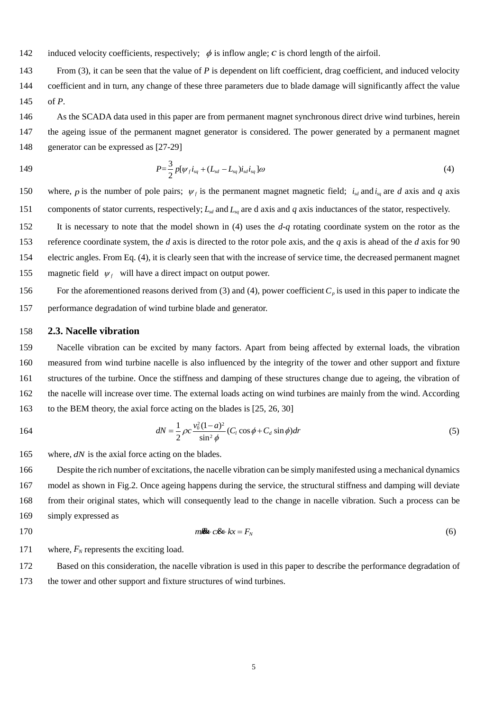331 collected respectively by the two sensors during the  $k^{th}$  time period. Repeat the data collection and finally obtain 332 N sets of data for assessment, i.e.  $W = \{W_1, W_2, \cdots, W_N\}.$ 

- 333 ii) **Reliable estimation of temperature.** Use arithmetic average method to process  $T_{ak}$  and  $T_{bk}$ , has
- $334$  (16)  $=\frac{1}{2}$  $T_k = \frac{T_{ak} + T_{bk}}{2}$
- 335 Apply (16) to processing all N sets of data, then a series of data  $T = \{T_1, T_2, \dots, T_N\}$  can be obtained in the end.

336 Likewise, apply the KDE method to process data *T* to obtain the reliable estimation of main bearing temperature  $337$   $T<sub>T</sub>$  through detecting the peak value on the resultant kernel density curve.

338 iii)**Criterion for assessing the ageing of main bearing.** To assess the performance degradation of wind turbine 339 main bearing due to the effect of ageing, the following criterion  $\delta_i$  is developed, i.e.

$$
\delta_{\iota} = \frac{T_T}{T_B} \tag{17}
$$

341 where  $T_B$  is the benchmark value of main bearing temperature obtained when the wind turbine normally operates at 342 its young age.

343

#### 344 **3.2. Ageing assessment methods**

345 Based on the four assessment criteria proposed above, there are the following two optional methods can be used 346 to assess the ageing resultant performance degradation issue of the wind turbine over time.

347 (1) Conventional method

 The method achieves the assessment by respectively investigating the variation tendency of each criterion over time. Therefore, the deviation of any one of the four criteria from its benchmark value will imply the presence of ageing degradation in the turbine performance. Accordingly, the larger deviation indicates a worse ageing issue. Such a method is simple and easy to implement. Moreover, it can help us to identify readily the wind turbine subassemblies that are suffering more ageing issue. However, such a method can hardly provide a reliable description of the ageing situation of the whole turbine system. To address this issue, the sum of all four criteria was proposed to be a new criterion for ageing assessment, i.e.

$$
\delta = \delta_p + \delta_{C_p} + \delta_a + \delta_t \tag{18}
$$

356 However, such a method treats the four performance assessment criteria equally without any identification, which 357 could lead to unreliable assessment due to unreasonably amplifying or weakening the roles of the four criteria in 358 ageing assessment.

359 (2) Information fusion method

 The long-term wind farm practice has shown that the aforementioned four assessment criteria play different roles in reflecting the overall performance of the wind turbine. Therefore, they should be treated differently. For this reason, the first information fusion based method shown in (18) is further improved by assigning an appropriate weighting factor to each criterion, i.e.

$$
\begin{cases}\n\delta = r_1 \cdot \delta_p + r_2 \cdot \delta_{C_p} + r_3 \cdot \delta_a + r_4 \cdot \delta_t \\
r_1 + r_2 + r_3 + r_4 = 1\n\end{cases}
$$
\n(19)

365 where  $r_1$ ,  $r_2$ ,  $r_3$  and  $r_4$  are the weighting factors being assigned respectively to the four assessment criteria.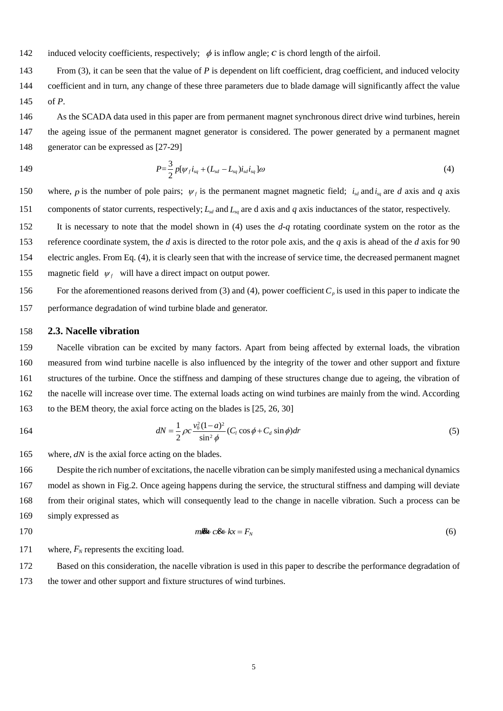Since the values of four criteria are all equal to 1 in the absence of ageing, the value of the comprehensive ageing criterion should normally be equal to 1. Its value will deviate from 1 once ageing happens on the turbine. Undoubtedly, the application of these four weighting factors is helpful to reach a more reliable ageing assessment result. However, how to determine the appropriate values of these four weighting factors, in reality, is challenging. Up to date, there is no any relevant research has been reported in open literature. To address this issue, a deliberately designed questionnaire is assigned to four experienced engineers, who all have been working in the field of wind farm operation and maintenance for over 15 years. The questionnaire was designed to ask the interviewees to answer a few small questions regarding the influences of the ageing of different wind turbine components/subassemblies on the power generation performance of the turbine. The influences were marked with the values scaling from 1 to 10. Then, after receiving the completed questionnaire these values will be normalized to obtain the corresponding values of weighting factors through assuming the sum of these weighting factors is equal to 1. The survey results received from these four engineers are listed in Table 1.

| Criterion<br>weight | Power<br>fluctuation<br>weight $r_1$ | $C_p$ weight<br>r <sub>2</sub> | Vibration<br>weight $r_3$ | Temperature<br>weight $r_4$ |
|---------------------|--------------------------------------|--------------------------------|---------------------------|-----------------------------|
| expert1             | 0.2                                  | 0.5                            | 0.2                       | 0.1                         |
| expert2             | 0.1                                  | 0.4                            | 0.2                       | 0.3                         |
| expert3             | 0.1                                  | 0.5                            | 0.2                       | 0.2                         |
| expert4             | 0.1                                  | 0.5                            | 0.1                       | 0.3                         |
| average value       | 0.125                                | 0.475                          | 0.175                     | 0.225                       |

378 Table 1. Weighting factors assigned to the four ageing assessment criteria

379

380

 From Table 1, it is clearly seen that the weights of the four assessment criteria from different experts are more or less different. Nevertheless, their consensus is that in contrast to power fluctuation, nacelle vibration, and main 383 bearing temperature, power coefficient  $C_p$  is more alert to the performance degradation of the turbine due to ageing issue. Therefore, in order to highlight the engineers' researchers' consensus whilst also fully take into account their dissent, the values that they proposed to each weighting factor are averaged in this paper for further calculations. 386 They are  $r_1 = 0.125$ ,  $r_2 = 0.475$ ,  $r_3 = 0.175$  and  $r_4 = 0.225$ , respectively.

#### 387 **4. Verification of the proposed method**

388 Since the ageing of a wind turbine is characterized by the gradual degradation of its performance change (e.g. power 389 coefficient change) over time, it is taken for granted that the ageing effect of a turbine can be assessed through 390 observing the developing tendency of the criterion being investigated.

 Based on the above discussion, the calculations and analyses for performing the proposed ageing assessment is summarized in Fig.6. To demonstrate the verification steps, a 2MW direct-drive wind turbine is selected as an example (called unit #1), which was installed in 2011. SCADA data collected from this wind turbine respectively in March 2015 and January 2016 are used. The sampling frequency of the SCADA system is 1Hz. The wind speed and corresponding power fluctuation data collected in an interval are shown in Figs.7a and 7b. There is a total of  $1.7 \times 10^4$ 395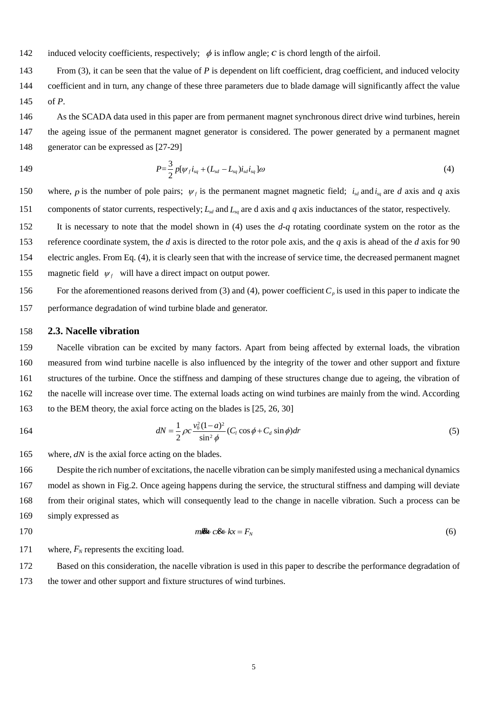- 396 sets of data are used for performing power fluctuation assessment. When investigating the fluctuation of power, wind 397 speeds should be basically same in order to ensure that the estimation is conducted under the 'basically same' control 398 and operational conditions, so that a more reliable estimation can be reached. Subsequently, Eq. (7) is used to calculate 399 the power fluctuation criterion when  $n = 10$ . The value of parameter *n* takes into account the influences of the inertia 400 of rotor, the characteristics of the generator and the control of the turbine. Due to the inertia of rotor, both rotor speed 401 and the power generated by the wind turbine generator are unable to respond to the instantaneous change in wind 402 speed [30]. Then, the histograms of the absolute fluctuation of the output power  $\Delta P$  and the resultant kernel density 403 curves are obtained. The results are shown in Figs.8a and 8b.
- 404





406 Fig.6 Flow chart of the proposed calculations and analyses for ageing assessment



408

409 (a) Wind speed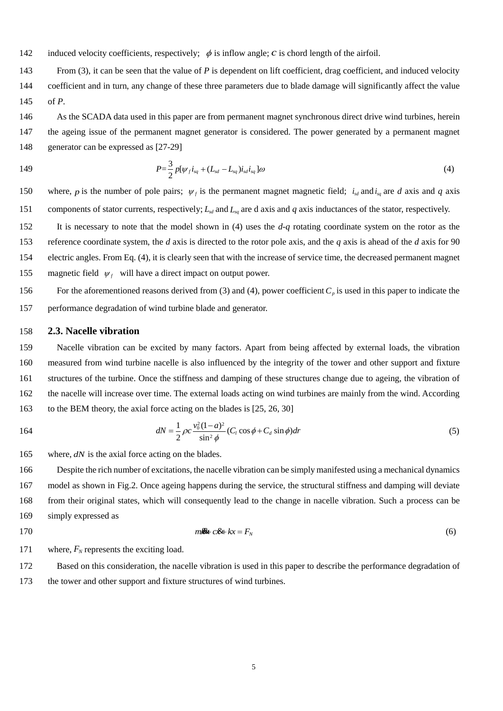



Fig.8 Histogram and kernel density estimation of power fluctuation

Subsequently, the ageing effect on wind turbine power coefficient was also investigated. There are total  $1.8 \times 10^4$  sets of data are collected. According to the recorded wind farm temperature, humidity, and atmospheric pressure data, 428 the air density is calculated first using (11). The result is about 1.226 kg/m<sup>3</sup> in data selection period in 2015 and 1.243 429 kg/m<sup>3</sup> in 2016, respectively. Then, use (12) to calculate power coefficient  $C_p$ . The histograms of the calculated  $C_p$  and the corresponding kernel density curves for both time periods are shown in Figs.9a and 9b. From Figs.9a and 9b, it is found that the calculated value of power coefficient varies in a wide range. However, in theory it should be constant because the SCADA data used for this calculation was from the maximum power point tracking (MPPT) region (see Fig.5), in which the wind turbine power coefficient is constantly equal to the maximum value of power 434 coefficient  $C_{pmax}$ . This is normal because the actual wind speed constantly varies time by time, which leads instantaneous change of the calculated power coefficient. In other words, the operation of the wind turbine cannot exactly follow the instantaneous change of wind speed. Thus, calculation errors occur inevitably in Figs.9a and 9b. Anyway, the application of KDE can significantly minimize the unreliability of estimation. From Figs.9a and 9b, it is found that the reliable estimation values of the power coefficient are 0.356 in 2015 and 0.327 in 2016. Then, take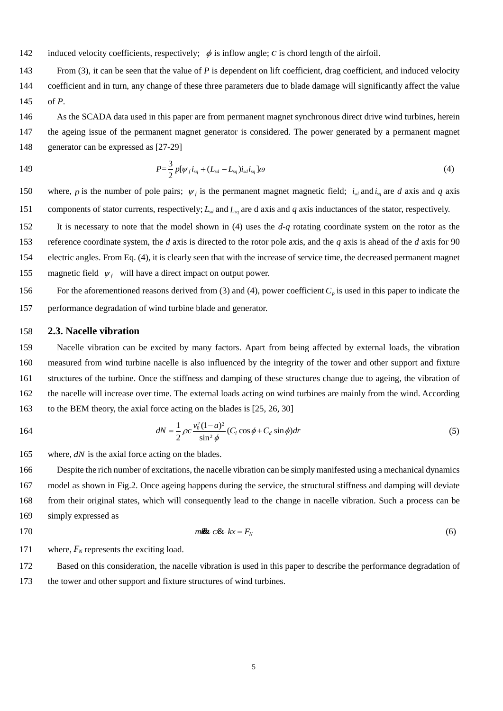439 the value obtained in 2015 as the benchmark value, apply (13) to calculate the criterion  $\delta_{C_p}$ . The result is  $\delta_{C_p} = 1.089$ , 440 which deviates from 1. Thus, it seems to indicate a significant ageing effect on power coefficient in one year. 441  $\begin{bmatrix} 10 \\ 8 \end{bmatrix}$ alct<br>  $\frac{12}{10}$ <br>  $\frac{1}{8}$ alcu<br>  $\begin{bmatrix} \n\frac{12}{10} \n\end{bmatrix}$ 



442

444

443 Fig.9 Histogram and kernel density estimation of power coefficient

Likewise, use the proposed methods and the data collected  $(1.7 \times 10^4 \text{ sets of data})$  in 2015 and 2016 to calculate the 445 446 changes of nacelle vibration and main bearing temperature as well. The resultant histograms and the corresponding 447 kernel density curves are shown in Figs.10a and 10b and Figs.11a and 11b, respectively. From the figures, it is known 448 that the reliable estimation of the nacelle vibration  $a$  in 2015 is 0.19 m/s<sup>2</sup> and the vibration in 2016 is 0.16 m/s<sup>2</sup>; the 449 reliable estimation of the main bearing temperature in 2015 is 48.1 °C and the temperature in 2016 is 48.4 °C. 450 Environmental temperature in both 2015 and 2016 is 5.8±0.2 °C in the time interval of producing SCADA data for 451 main bearing temperature. Take the estimation results from the data in 2015 as benchmark data, both criteria  $\delta_a$  and 452  $\delta_t$  are calculated. The results are  $\delta_a = 0.842$  and  $\delta_t = 1.006$ . Both deviate from 1 thus seems to indicate the ageing 453 effect on nacelle vibration and main bearing temperature in the past one year.



455

457 458





460 Fig.11 Histogram and kernel density estimation of bearing temperature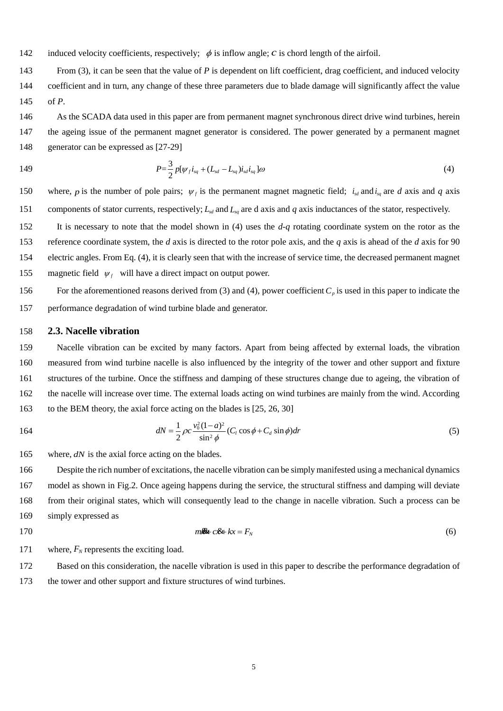To facilitate further analysis, all ageing criterion calculation results are listed in Table 2.

Table 2. Calculation results for the unit #1 wind turbine

| Criterion<br>values<br>Year | Power<br>fluctuation | $C_p$ | Vibration | Temperature |
|-----------------------------|----------------------|-------|-----------|-------------|
| 2015                        |                      |       |           |             |
| 2016                        | 0.992                | 1.089 | 0.842     | 1.006       |

 

 From Table 2, it can be seen that the values of all four ageing criteria deviate from 1. During the service life of a wind turbine (normally 25-30 years), ageing will inevitably happen over time. However, the apparent ageing effect of the turbine should not be clearly observed within only one-year time. So, it can be said that separate analysis of individual ageing assessment criterion cannot lead to a reliable assessment of turbine ageing effect. The sum of the four criteria is 3.929, which is smaller than 4 thus is unreasonable because ageing is inevitable even if within one- year time. Thus, it can be concluded that the conventional ageing assessment method proposed in Section 3.2 cannot lead to a reliable assessment of the ageing of the turbine. Therefore, the information fusion method proposed in Section 3.2 is applied to interpret the calculation results in Table 2. Substitute the calculated values of the four ageing criteria in Table 2 and the weighting factors in Table 1 into (19), has

475  
\n
$$
\delta = r_1 \cdot \delta_p + r_2 \cdot \delta_{Cp} + r_3 \cdot \delta_a + r_4 \cdot \delta_t
$$
\n
$$
= 0.124 + 0.517 + 0.147 + 0.226
$$
\n
$$
= 1.014
$$
\n(20)

 Obviously, such a result is more realistic and acceptable. According to (19), the value of the comprehensive ageing 477 assessment criterion  $\delta$  is equal to 1 in the absence of ageing. Eqn. (20) gives a calculation result of 1.014, which deviates from 1 by 1.4 %. Thus, it can be concluded that ageing of the turbine is small and ignorable over the course from 2015 to 2016.

 In order to further demonstrate the reliability and robustness of the proposed ageing assessment method, the SCADA data collected for another wind turbine (called unit #2) in the same wind farm are processed as well. The concept of the unit #2 turbine is exactly same as the unit #1 turbine and was installed also in 2011. Then, the four criteria for ageing assessment are calculated as well and the results are listed in Table 3.

 From Table 3, it is found that the values of all four ageing criteria deviate from 1 as well. But it is noticed that the value of vibration criterion is smaller than 1, while the values of the other three criteria are larger than 1. This makes it difficult to draw a reliable ageing assessment conclusion. To overcome this issue, the comprehensive ageing assessment criterion is calculated as well. The result is equal to 1.085, which is a reasonable value to indicate the slight ageing problem of the wind turbine happening within one-year time. Thus, it can be concluded that in contrast to the individual ageing assessment criteria the comprehensive ageing assessment criterion is more effective to provide a reliable assessment of the ageing issues of wind turbines.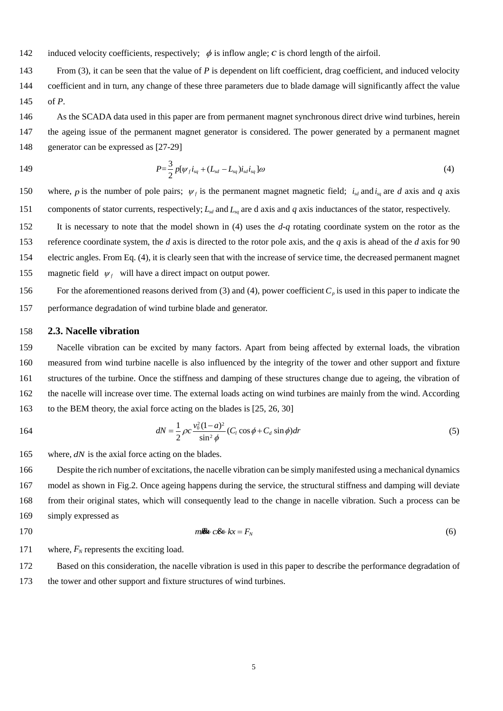Table 3. Calculation results for the unit #2 wind turbine

| Criterion<br>values<br>Year | Power<br>fluctuation | $C_p$ | Vibration | Temperature |
|-----------------------------|----------------------|-------|-----------|-------------|
| 2015                        |                      |       |           |             |
| 2016                        | 1.167                | 1.158 | 0.876     | 1.048       |

#### **5. Concluding remarks**

 Unlike the previous effort that has been made to investigate the actual health condition and reliability issues in wind turbines, SCADA-based preliminary research was firstly conducted in this paper in order to perform an ageing assessment of a wind turbine. In the current practice of the wind farm operation and maintenance, the kind of issues has not attracted much interest because the majority of modern wind turbines in operation today are at their young ages. However, with the increase of their ages, the ageing issue will occur inevitably sooner or later. They are not linked to any type of fault. But they can lead to the frequent presence of faults and reliability issues, thus increased downtime and high wind turbine operation and maintenance cost. From this point of view, the research on the ageing issue of a wind turbine is of great importance to improve the life management of a wind turbine and maximize its economic return. In this paper, the ageing assessment research was started from discussing the SCADA parameters that potentially can be used for ageing assessment. Then, four ageing assessment criteria were developed in order to describe the ageing issues of wind turbines from different points of views and based on which, both a conventional and information fusion based ageing assessment methods were developed. Finally, the effectiveness of the proposed method in the ageing assessment was verified using real SCADA data collected from a wind farm. From the work shown above, it can be concluded that the proposed information fusion based method is indeed effective in assessing the ageing issues in a wind turbine, although further verification is still needed in the future.

 Following this research, the proposed ageing assessment method will be further improved through optimizing the weighting factors by considering the views of more experts, and moreover, the method will be verified using more wind farm SCADA data. In addition, the ageing assessment of different concepts of wind turbines has not been considered in the research presented in this paper. In the future, different concepts of wind turbines will be distinguished when designing ageing assessment criteria and the influence of external environmental factors on turbine ageing will be considered as well. All new research achievements will be reported in separate papers.

#### **Acknowledgements**

 This work reported in this paper is supported by the National Natural Science Foundation of People's Republic of China (grant number 51475160, 11632011, 11472103) and State Scholarship Fund (grant number 201408430267), Hunan Provincial Natural Science Foundation (grant number 2016JJ5024) and Scientific Research Fund of Hunan Provincial Education Department (grant number 15B084).

#### **References**

- <span id="page-16-0"></span> [1] AMIRAT Y, BENBOUZID M E H, AL-AHMAR E, et al. A brief status on condition monitoring and fault diagnosis in wind energy conversion systems[J]. Renewable and Sustainable Energy Reviews, 2009, 13(9): 2629-2636
- <span id="page-16-1"></span>[2] WATSON S J, XIANG B J, YANG W, et al. Condition monitoring of the power output of wind turbine generators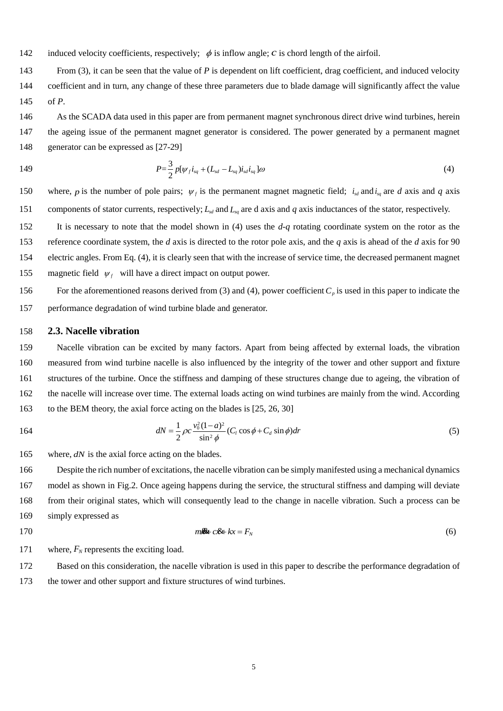- using wavelets[J]. Energy Conversion, IEEE Transactions on, 2010, 25(3): 715-721
- <span id="page-17-0"></span> [3] YANG W, TAVNER P J, CRABTREE C J, et al. Cost-effective condition monitoring for wind turbines[J]. Industrial Electronics, IEEE Transactions on, 2010, 57(1): 263-271
- <span id="page-17-1"></span> [4] CHEN J, PAN J, LI Z, et al. Generator bearing fault diagnosis for wind turbine via empirical wavelet transform using measured vibration signals[J]. Renewable Energy, 2016, 89: 80-92
- <span id="page-17-2"></span> [5] BESNARD F, BERTLING L. An approach for condition-based maintenance optimization applied to wind turbine blades[J]. Sustainable Energy, IEEE Transactions on, 2010, 1(2): 77-83
- <span id="page-17-3"></span> [6] LIU X, GAO Z. Takagi-sugeno fuzzy modelling and robust fault reconstruction for wind turbine systems[C].Industrial Informatics (INDIN), 2016 IEEE 14th International Conference on, 2016: IEEE: 492-495.
- <span id="page-17-4"></span> [7] FISCHER K, BESNARD F, BERTLING L. Reliability-centered maintenance for wind turbines based on statistical analysis and practical experience[J]. Energy Conversion, IEEE Transactions on, 2012, 27(1): 184-195
- <span id="page-17-5"></span> [8] GUO H, WATSON S, TAVNER P, et al. Reliability analysis for wind turbines with incomplete failure data collected from after the date of initial installation[J]. Reliability Engineering & System Safety, 2009, 94(6): 1057-1063
- <span id="page-17-6"></span> [9] ARABIAN-HOSEYNABADI H, ORAEE H, TAVNER P. Failure modes and effects analysis (FMEA) for wind turbines[J]. International Journal of Electrical Power & Energy Systems, 2010, 32(7): 817-824
- <span id="page-17-7"></span> [10] STAFFELL I, GREEN R. How does wind farm performance decline with age?[J]. Renewable energy, 2014, 66: 775- 786
- <span id="page-17-8"></span> [11] GAO Z, CECATI C, DING S X. A survey of fault diagnosis and fault-tolerant techniques—part I: Fault diagnosis with model-based and signal-based approaches[J]. IEEE Transactions on Industrial Electronics, 2015, 62(6): 3757- 3767
- <span id="page-17-9"></span> [12] GAO Z, CECATI C, DING S X. A survey of fault diagnosis and fault-tolerant techniques—part II: Fault diagnosis with knowledge-based and hybrid/active approaches[J]. IEEE Transactions on Industrial Electronics, 2015, 62(6): 3768-3774
- <span id="page-17-10"></span>[13] KUSIAK A, LI W. The prediction and diagnosis of wind turbine faults[J]. Renewable Energy, 2011, 36(1): 16-23
- <span id="page-17-11"></span> [14] FENG Y, QIU Y, CRABTREE C J, et al. Use of SCADAA and CMS signals for failure detection and diagnosis of a wind turbine gearbox[C].European Wind Energy Conference and Exhibition, Sheffield, 2011: 17-19.
- <span id="page-17-12"></span> [15] KIM K, PARTHASARATHY G, ULUYOL O, et al. Use of SCADAA data for failure detection in wind turbines[C].ASME 2011 5th International Conference on Energy Sustainability, Washington, DC, 2011: 2071-2079.
- <span id="page-17-13"></span> [16] YONGJIE Z, DONGFENG W, JUNYING Z, et al. Research on early fault diagnostic method of wind turbines[J]. TELKOMNIKA Indonesian Journal of Electrical Engineering, 2013, 11(5): 2330-2341
- <span id="page-17-14"></span> [17] ZAHER A, MCARTHUR S, INFIELD D, et al. Online wind turbine fault detection through automated SCADAA data analysis[J]. Wind Energy, 2009, 12(6): 574-593
- <span id="page-17-15"></span> [18] SCHLECHTINGEN M, SANTOS I F, ACHICHE S. Wind turbine condition monitoring based on SCADAA data using normal behavior models. Part 1: System description[J]. Applied Soft Computing, 2013, 13(1): 259-270
- <span id="page-17-16"></span> [19] SCHLECHTINGEN M, SANTOS I F. Wind turbine condition monitoring based on SCADAA data using normal behavior models. Part 2: Application examples[J]. Applied Soft Computing, 2014, 14: 447-460
- <span id="page-17-17"></span> [20] YANG W, COURT R, JIANG J. Wind turbine condition monitoring by the approach of SCADAA data analysis[J]. Renewable Energy, 2013, 53: 365-376
- <span id="page-17-18"></span> [21] LOU J, SHAN K, XU J. A new condition monitoring method for wind turbines based on power curve model[J]. International Journal of Control and Automation, 2016, 9(3): 393-408
- <span id="page-17-19"></span> [22] YANG W, TAVNER P J, CRABTREE C J, et al. Wind turbine condition monitoring: Technical and commercial challenges[J]. Wind Energy, 2014, 17(5): 973-693
- <span id="page-17-20"></span>[23] FENG Y, QIU Y, CRABTREE C J, et al. Monitoring wind turbine gearboxes[J]. Wind Energy, 2013, 16(5): 728-740
- <span id="page-17-21"></span> [24] YANG H, SHEN W, XU H, et al. Prediction of the wind turbine performance by using BEM with airfoil data extracted from CFD[J]. Renewable Energy, 2014, 70: 107-115
- <span id="page-17-22"></span>[25] LANZAFAME R, MESSINA M. Fluid dynamics wind turbine design: Critical analysis, optimization and application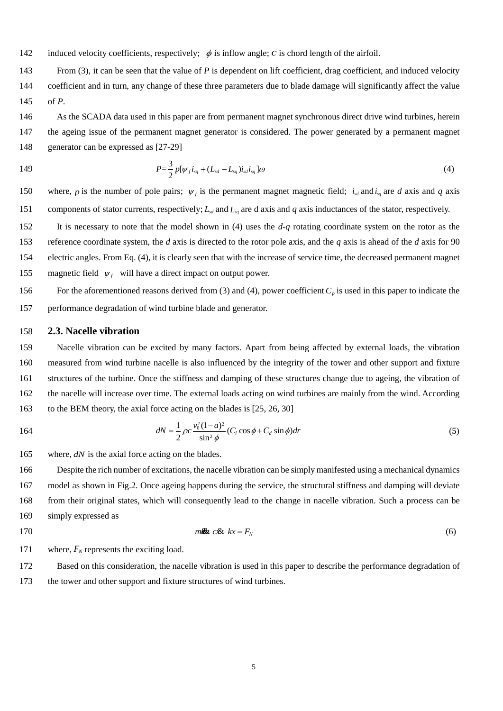- of BEM theory[J]. Renewable Energy, 2007, 32(14): 2291-2305
- <span id="page-18-0"></span> [26] DAI J C, HU Y P, LIU D S, et al. Aerodynamic loads calculation and analysis for large scale wind turbine based on combining BEM modified theory with dynamic stall model[J]. Renewable Energy, 2011, 36(3): 1095-1104
- <span id="page-18-1"></span> [27] DAI J-C, HU Y-P, LIU D-S, et al. Modelling and analysis of direct-driven permanent magnet synchronous generator wind turbine based on wind-rotor neural network model [J]. Proceedings of the Institution of Mechanical Engineers, Part A: Journal of Power and Energy, 2012, 226(1): 62-72
- [28] HANSEN A, MICHALKE G. Modelling and control of variable-speed multi-pole permanent magnet synchronous generator wind turbine[J]. Wind Energy, 2008, 11(5): 537-554
- [29] VALENCIAGA F, FERNANDEZ R D. Multiple-input–multiple-output high-order sliding mode control for a permanent magnet synchronous generator wind-based system with grid support capabilities[J]. Renewable Power Generation, IET, 2015, 9(8): 925-934
- <span id="page-18-2"></span>585 [30] MARTINEZ J, BERNABINI L, PROBST O, et al. An improved BEM model for the power curve prediction of stall -regulated wind turbines[J]. Wind Energy, 2005, 8(4): 385-402
- <span id="page-18-3"></span> [31] LAKSHMANAN K, ORTNER R, RYABKO D. Improved regret bounds for undiscounted continuous reinforcement learning[C].Proceedings of the 32nd International Conference on Machine Learning, Lille, 2015: 524-532.
- [32] LIU Z, SHI R, SHEN L, et al. Unsupervised salient object segmentation based on kernel density estimation and two-phase graph cut[J]. Multimedia, IEEE Transactions on, 2012, 14(4): 1275-1289
- [33] BESSA R J, MIRANDA V, BOTTERUD A, et al. Time adaptive conditional kernel density estimation for wind power forecasting[J]. Sustainable Energy, IEEE Transactions on, 2012, 3(4): 660-669
- <span id="page-18-4"></span> [34] DAI J, LIU D, WEN L, et al. Research on power coefficient of wind turbines based on SCADAA data[J]. Renewable Energy, 2016, 86: 206-215
- <span id="page-18-5"></span> [35]WEI J, XUAN Y. Equations for calculating thermophysical properties of moist air[J]. Journal of HV&AC, 1996, 26(3): 16-19
- 
- 
- 
- 

 

- 
- 
- 
-